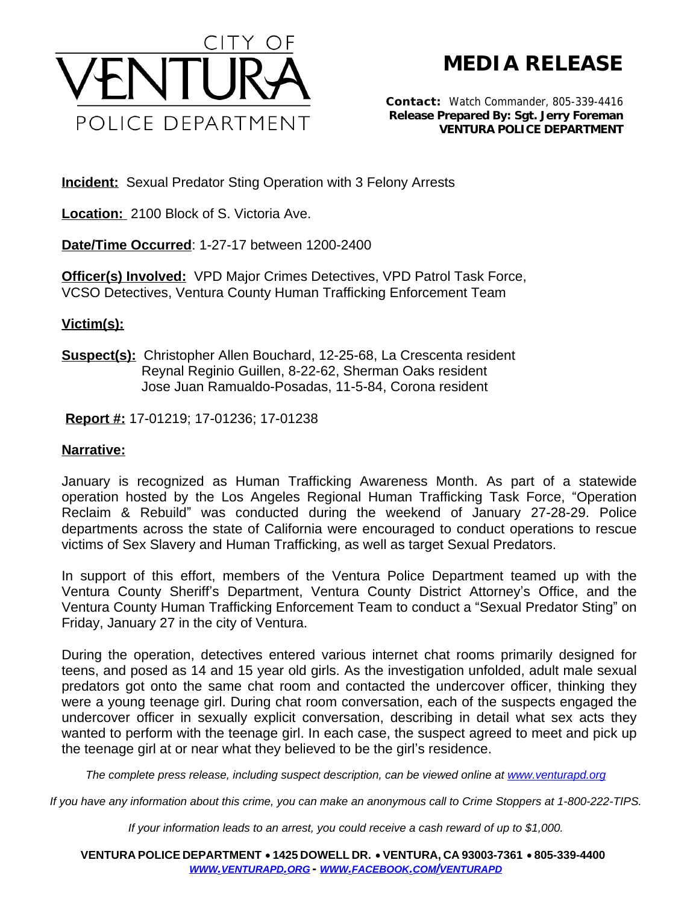

**MEDIA RELEASE**

**Contact:** Watch Commander, 805-339-4416 **Release Prepared By: Sgt. Jerry Foreman VENTURA POLICE DEPARTMENT**

**Incident:** Sexual Predator Sting Operation with 3 Felony Arrests

**Location:** 2100 Block of S. Victoria Ave.

**Date/Time Occurred**: 1-27-17 between 1200-2400

**Officer(s) Involved:** VPD Major Crimes Detectives, VPD Patrol Task Force, VCSO Detectives, Ventura County Human Trafficking Enforcement Team

## **Victim(s):**

**Suspect(s):** Christopher Allen Bouchard, 12-25-68, La Crescenta resident Reynal Reginio Guillen, 8-22-62, Sherman Oaks resident Jose Juan Ramualdo-Posadas, 11-5-84, Corona resident

**Report #:** 17-01219; 17-01236; 17-01238

## **Narrative:**

January is recognized as Human Trafficking Awareness Month. As part of a statewide operation hosted by the Los Angeles Regional Human Trafficking Task Force, "Operation Reclaim & Rebuild" was conducted during the weekend of January 27-28-29. Police departments across the state of California were encouraged to conduct operations to rescue victims of Sex Slavery and Human Trafficking, as well as target Sexual Predators.

In support of this effort, members of the Ventura Police Department teamed up with the Ventura County Sheriff's Department, Ventura County District Attorney's Office, and the Ventura County Human Trafficking Enforcement Team to conduct a "Sexual Predator Sting" on Friday, January 27 in the city of Ventura.

During the operation, detectives entered various internet chat rooms primarily designed for teens, and posed as 14 and 15 year old girls. As the investigation unfolded, adult male sexual predators got onto the same chat room and contacted the undercover officer, thinking they were a young teenage girl. During chat room conversation, each of the suspects engaged the undercover officer in sexually explicit conversation, describing in detail what sex acts they wanted to perform with the teenage girl. In each case, the suspect agreed to meet and pick up the teenage girl at or near what they believed to be the girl's residence.

*The complete press release, including suspect description, can be viewed online at [www.venturapd.org](http://www.venturapd.org)*

*If you have any information about this crime, you can make an anonymous call to Crime Stoppers at 1-800-222-TIPS.*

*If your information leads to an arrest, you could receive a cash reward of up to \$1,000.*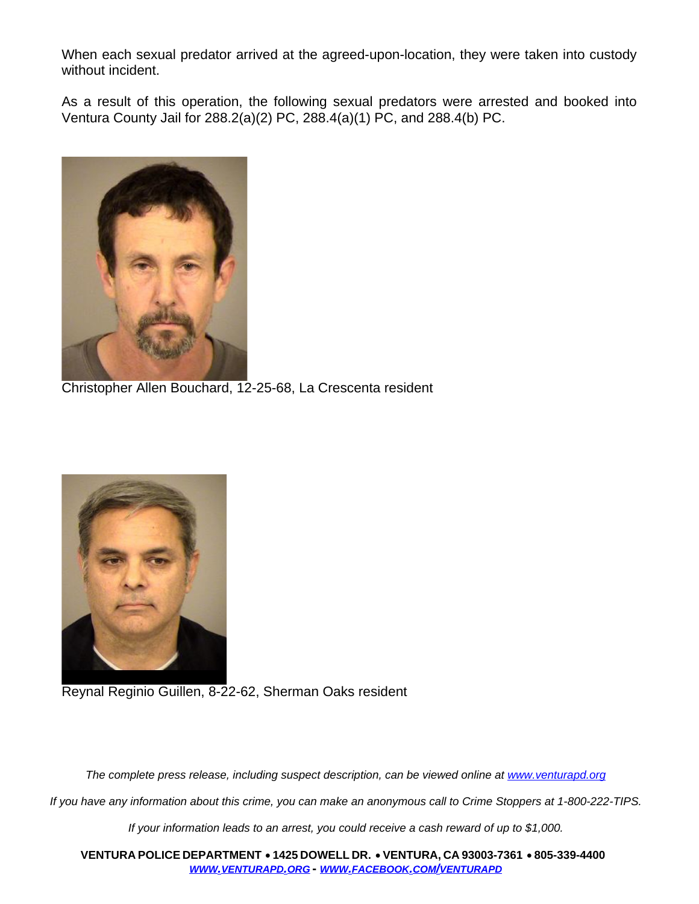When each sexual predator arrived at the agreed-upon-location, they were taken into custody without incident.

As a result of this operation, the following sexual predators were arrested and booked into Ventura County Jail for 288.2(a)(2) PC, 288.4(a)(1) PC, and 288.4(b) PC.



Christopher Allen Bouchard, 12-25-68, La Crescenta resident



Reynal Reginio Guillen, 8-22-62, Sherman Oaks resident

The complete press release, including suspect description, can be viewed online at [www.venturapd.org](http://www.venturapd.org)

*If you have any information about this crime, you can make an anonymous call to Crime Stoppers at 1-800-222-TIPS.*

*If your information leads to an arrest, you could receive a cash reward of up to \$1,000.*

**VENTURA POLICE DEPARTMENT** ·**1425 DOWELL DR.** · **VENTURA, CA 93003-7361** ·**805-339-4400**  *WWW.[VENTURAPD](http://www.venturapd.org).ORG* **-** *WWW.FACEBOOK.COM/[VENTURAPD](http://www.facebook.com/venturapd)*